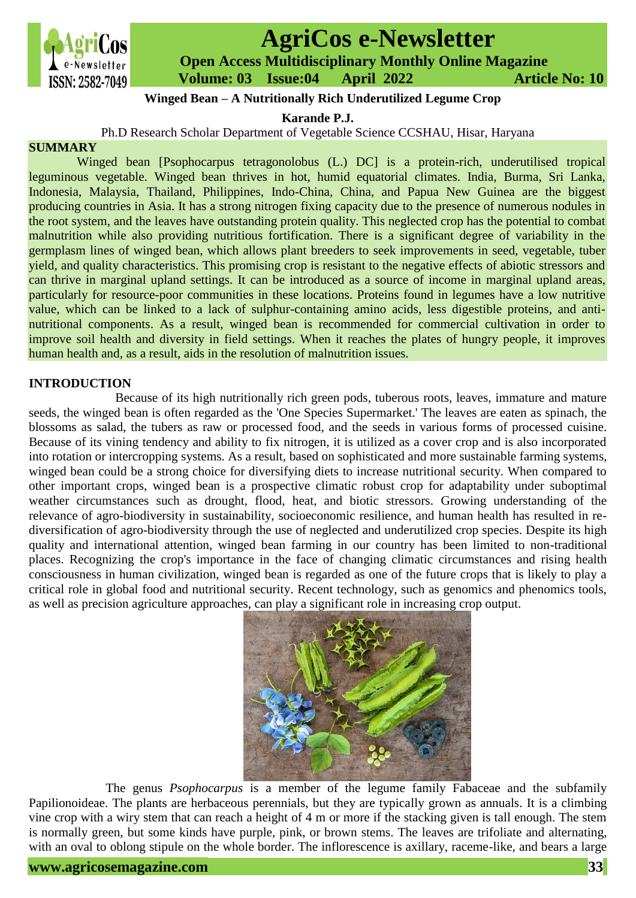

# **AgriCos e-Newsletter**

 **Open Access Multidisciplinary Monthly Online Magazine**

 **ISSN: 2582-7049 Volume: 03 Issue:04 April 2022 Article No: 10** 

# **Winged Bean – A Nutritionally Rich Underutilized Legume Crop**

**Karande P.J.**

Ph.D Research Scholar Department of Vegetable Science CCSHAU, Hisar, Haryana

## **SUMMARY**

Winged bean [Psophocarpus tetragonolobus (L.) DC] is a protein-rich, underutilised tropical leguminous vegetable. Winged bean thrives in hot, humid equatorial climates. India, Burma, Sri Lanka, Indonesia, Malaysia, Thailand, Philippines, Indo-China, China, and Papua New Guinea are the biggest producing countries in Asia. It has a strong nitrogen fixing capacity due to the presence of numerous nodules in the root system, and the leaves have outstanding protein quality. This neglected crop has the potential to combat malnutrition while also providing nutritious fortification. There is a significant degree of variability in the germplasm lines of winged bean, which allows plant breeders to seek improvements in seed, vegetable, tuber yield, and quality characteristics. This promising crop is resistant to the negative effects of abiotic stressors and can thrive in marginal upland settings. It can be introduced as a source of income in marginal upland areas, particularly for resource-poor communities in these locations. Proteins found in legumes have a low nutritive value, which can be linked to a lack of sulphur-containing amino acids, less digestible proteins, and antinutritional components. As a result, winged bean is recommended for commercial cultivation in order to improve soil health and diversity in field settings. When it reaches the plates of hungry people, it improves human health and, as a result, aids in the resolution of malnutrition issues.

# **INTRODUCTION**

Because of its high nutritionally rich green pods, tuberous roots, leaves, immature and mature seeds, the winged bean is often regarded as the 'One Species Supermarket.' The leaves are eaten as spinach, the blossoms as salad, the tubers as raw or processed food, and the seeds in various forms of processed cuisine. Because of its vining tendency and ability to fix nitrogen, it is utilized as a cover crop and is also incorporated into rotation or intercropping systems. As a result, based on sophisticated and more sustainable farming systems, winged bean could be a strong choice for diversifying diets to increase nutritional security. When compared to other important crops, winged bean is a prospective climatic robust crop for adaptability under suboptimal weather circumstances such as drought, flood, heat, and biotic stressors. Growing understanding of the relevance of agro-biodiversity in sustainability, socioeconomic resilience, and human health has resulted in rediversification of agro-biodiversity through the use of neglected and underutilized crop species. Despite its high quality and international attention, winged bean farming in our country has been limited to non-traditional places. Recognizing the crop's importance in the face of changing climatic circumstances and rising health consciousness in human civilization, winged bean is regarded as one of the future crops that is likely to play a critical role in global food and nutritional security. Recent technology, such as genomics and phenomics tools, as well as precision agriculture approaches, can play a significant role in increasing crop output.



The genus *Psophocarpus* is a member of the legume family Fabaceae and the subfamily Papilionoideae. The plants are herbaceous perennials, but they are typically grown as annuals. It is a climbing vine crop with a wiry stem that can reach a height of 4 m or more if the stacking given is tall enough. The stem is normally green, but some kinds have purple, pink, or brown stems. The leaves are trifoliate and alternating, with an oval to oblong stipule on the whole border. The inflorescence is axillary, raceme-like, and bears a large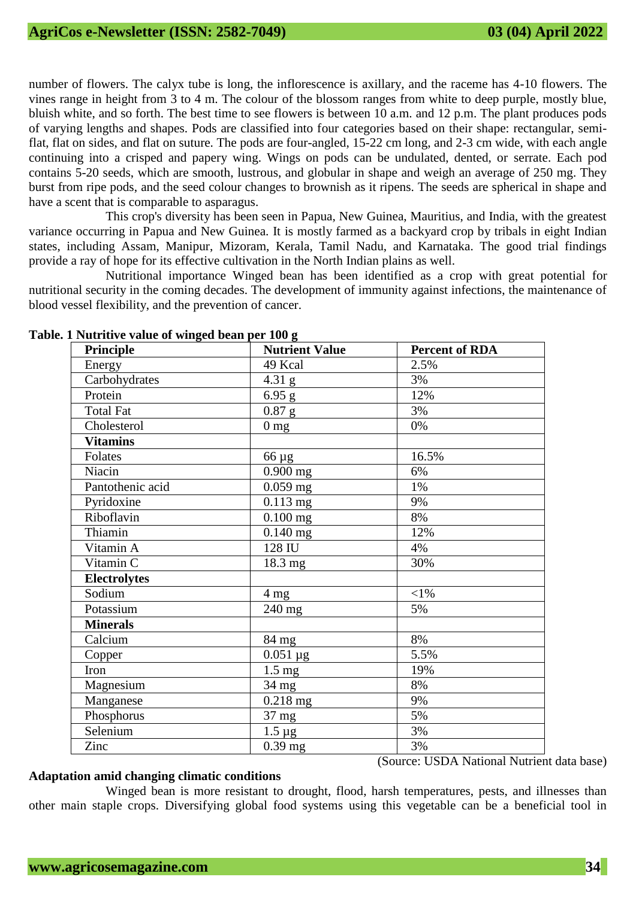number of flowers. The calyx tube is long, the inflorescence is axillary, and the raceme has 4-10 flowers. The vines range in height from 3 to 4 m. The colour of the blossom ranges from white to deep purple, mostly blue, bluish white, and so forth. The best time to see flowers is between 10 a.m. and 12 p.m. The plant produces pods of varying lengths and shapes. Pods are classified into four categories based on their shape: rectangular, semiflat, flat on sides, and flat on suture. The pods are four-angled, 15-22 cm long, and 2-3 cm wide, with each angle continuing into a crisped and papery wing. Wings on pods can be undulated, dented, or serrate. Each pod contains 5-20 seeds, which are smooth, lustrous, and globular in shape and weigh an average of 250 mg. They burst from ripe pods, and the seed colour changes to brownish as it ripens. The seeds are spherical in shape and have a scent that is comparable to asparagus.

This crop's diversity has been seen in Papua, New Guinea, Mauritius, and India, with the greatest variance occurring in Papua and New Guinea. It is mostly farmed as a backyard crop by tribals in eight Indian states, including Assam, Manipur, Mizoram, Kerala, Tamil Nadu, and Karnataka. The good trial findings provide a ray of hope for its effective cultivation in the North Indian plains as well.

Nutritional importance Winged bean has been identified as a crop with great potential for nutritional security in the coming decades. The development of immunity against infections, the maintenance of blood vessel flexibility, and the prevention of cancer.

| $\frac{1}{2}$       |                       |                       |
|---------------------|-----------------------|-----------------------|
| <b>Principle</b>    | <b>Nutrient Value</b> | <b>Percent of RDA</b> |
| Energy              | 49 Kcal               | 2.5%                  |
| Carbohydrates       | $4.31$ g              | 3%                    |
| Protein             | 6.95 g                | 12%                   |
| <b>Total Fat</b>    | $0.87$ g              | 3%                    |
| Cholesterol         | 0 <sub>mg</sub>       | 0%                    |
| <b>Vitamins</b>     |                       |                       |
| Folates             | 66 µg                 | 16.5%                 |
| Niacin              | $\overline{0.900}$ mg | 6%                    |
| Pantothenic acid    | $0.059$ mg            | 1%                    |
| Pyridoxine          | $0.113$ mg            | 9%                    |
| Riboflavin          | $0.100$ mg            | 8%                    |
| Thiamin             | $0.140$ mg            | 12%                   |
| Vitamin A           | 128 IU                | 4%                    |
| Vitamin C           | 18.3 mg               | 30%                   |
| <b>Electrolytes</b> |                       |                       |
| Sodium              | 4 <sub>mg</sub>       | $<$ 1%                |
| Potassium           | 240 mg                | 5%                    |
| <b>Minerals</b>     |                       |                       |
| Calcium             | 84 mg                 | 8%                    |
| Copper              | $0.051 \mu g$         | 5.5%                  |
| Iron                | $1.5 \text{ mg}$      | 19%                   |
| Magnesium           | $34 \text{ mg}$       | 8%                    |
| Manganese           | $0.218$ mg            | 9%                    |
| Phosphorus          | 37 mg                 | 5%                    |
| Selenium            | $1.5 \mu g$           | 3%                    |
| Zinc                | $0.39$ mg             | 3%                    |

#### **Table. 1 Nutritive value of winged bean per 100 g**

## **Adaptation amid changing climatic conditions**

(Source: USDA National Nutrient data base)

Winged bean is more resistant to drought, flood, harsh temperatures, pests, and illnesses than other main staple crops. Diversifying global food systems using this vegetable can be a beneficial tool in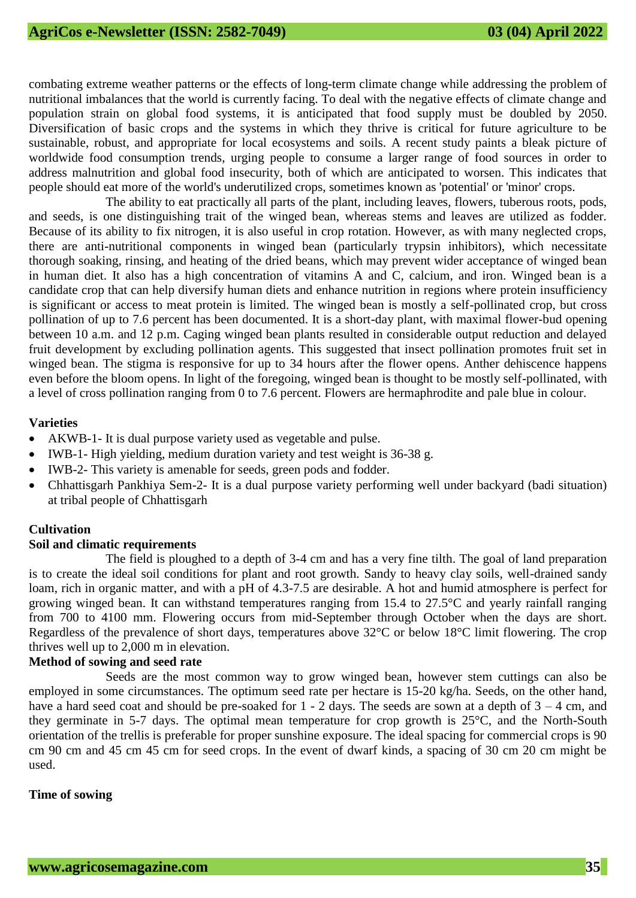combating extreme weather patterns or the effects of long-term climate change while addressing the problem of nutritional imbalances that the world is currently facing. To deal with the negative effects of climate change and population strain on global food systems, it is anticipated that food supply must be doubled by 2050. Diversification of basic crops and the systems in which they thrive is critical for future agriculture to be sustainable, robust, and appropriate for local ecosystems and soils. A recent study paints a bleak picture of worldwide food consumption trends, urging people to consume a larger range of food sources in order to address malnutrition and global food insecurity, both of which are anticipated to worsen. This indicates that people should eat more of the world's underutilized crops, sometimes known as 'potential' or 'minor' crops.

The ability to eat practically all parts of the plant, including leaves, flowers, tuberous roots, pods, and seeds, is one distinguishing trait of the winged bean, whereas stems and leaves are utilized as fodder. Because of its ability to fix nitrogen, it is also useful in crop rotation. However, as with many neglected crops, there are anti-nutritional components in winged bean (particularly trypsin inhibitors), which necessitate thorough soaking, rinsing, and heating of the dried beans, which may prevent wider acceptance of winged bean in human diet. It also has a high concentration of vitamins A and C, calcium, and iron. Winged bean is a candidate crop that can help diversify human diets and enhance nutrition in regions where protein insufficiency is significant or access to meat protein is limited. The winged bean is mostly a self-pollinated crop, but cross pollination of up to 7.6 percent has been documented. It is a short-day plant, with maximal flower-bud opening between 10 a.m. and 12 p.m. Caging winged bean plants resulted in considerable output reduction and delayed fruit development by excluding pollination agents. This suggested that insect pollination promotes fruit set in winged bean. The stigma is responsive for up to 34 hours after the flower opens. Anther dehiscence happens even before the bloom opens. In light of the foregoing, winged bean is thought to be mostly self-pollinated, with a level of cross pollination ranging from 0 to 7.6 percent. Flowers are hermaphrodite and pale blue in colour.

#### **Varieties**

- AKWB-1- It is dual purpose variety used as vegetable and pulse.
- IWB-1- High yielding, medium duration variety and test weight is 36-38 g.
- IWB-2- This variety is amenable for seeds, green pods and fodder.
- Chhattisgarh Pankhiya Sem-2- It is a dual purpose variety performing well under backyard (badi situation) at tribal people of Chhattisgarh

## **Cultivation**

## **Soil and climatic requirements**

The field is ploughed to a depth of 3-4 cm and has a very fine tilth. The goal of land preparation is to create the ideal soil conditions for plant and root growth. Sandy to heavy clay soils, well-drained sandy loam, rich in organic matter, and with a pH of 4.3-7.5 are desirable. A hot and humid atmosphere is perfect for growing winged bean. It can withstand temperatures ranging from 15.4 to 27.5°C and yearly rainfall ranging from 700 to 4100 mm. Flowering occurs from mid-September through October when the days are short. Regardless of the prevalence of short days, temperatures above 32°C or below 18°C limit flowering. The crop thrives well up to 2,000 m in elevation.

# **Method of sowing and seed rate**

Seeds are the most common way to grow winged bean, however stem cuttings can also be employed in some circumstances. The optimum seed rate per hectare is 15-20 kg/ha. Seeds, on the other hand, have a hard seed coat and should be pre-soaked for 1 - 2 days. The seeds are sown at a depth of 3 – 4 cm, and they germinate in 5-7 days. The optimal mean temperature for crop growth is 25°C, and the North-South orientation of the trellis is preferable for proper sunshine exposure. The ideal spacing for commercial crops is 90 cm 90 cm and 45 cm 45 cm for seed crops. In the event of dwarf kinds, a spacing of 30 cm 20 cm might be used.

## **Time of sowing**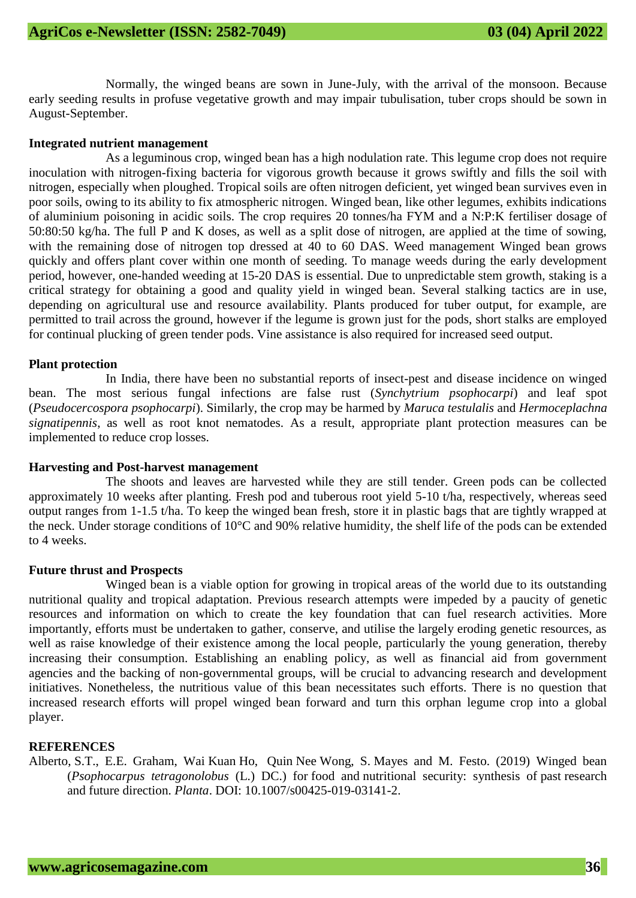Normally, the winged beans are sown in June-July, with the arrival of the monsoon. Because early seeding results in profuse vegetative growth and may impair tubulisation, tuber crops should be sown in August-September.

#### **Integrated nutrient management**

As a leguminous crop, winged bean has a high nodulation rate. This legume crop does not require inoculation with nitrogen-fixing bacteria for vigorous growth because it grows swiftly and fills the soil with nitrogen, especially when ploughed. Tropical soils are often nitrogen deficient, yet winged bean survives even in poor soils, owing to its ability to fix atmospheric nitrogen. Winged bean, like other legumes, exhibits indications of aluminium poisoning in acidic soils. The crop requires 20 tonnes/ha FYM and a N:P:K fertiliser dosage of 50:80:50 kg/ha. The full P and K doses, as well as a split dose of nitrogen, are applied at the time of sowing, with the remaining dose of nitrogen top dressed at 40 to 60 DAS. Weed management Winged bean grows quickly and offers plant cover within one month of seeding. To manage weeds during the early development period, however, one-handed weeding at 15-20 DAS is essential. Due to unpredictable stem growth, staking is a critical strategy for obtaining a good and quality yield in winged bean. Several stalking tactics are in use, depending on agricultural use and resource availability. Plants produced for tuber output, for example, are permitted to trail across the ground, however if the legume is grown just for the pods, short stalks are employed for continual plucking of green tender pods. Vine assistance is also required for increased seed output.

#### **Plant protection**

In India, there have been no substantial reports of insect-pest and disease incidence on winged bean. The most serious fungal infections are false rust (*Synchytrium psophocarpi*) and leaf spot (*Pseudocercospora psophocarpi*). Similarly, the crop may be harmed by *Maruca testulalis* and *Hermoceplachna signatipennis*, as well as root knot nematodes. As a result, appropriate plant protection measures can be implemented to reduce crop losses.

#### **Harvesting and Post-harvest management**

The shoots and leaves are harvested while they are still tender. Green pods can be collected approximately 10 weeks after planting. Fresh pod and tuberous root yield 5-10 t/ha, respectively, whereas seed output ranges from 1-1.5 t/ha. To keep the winged bean fresh, store it in plastic bags that are tightly wrapped at the neck. Under storage conditions of 10°C and 90% relative humidity, the shelf life of the pods can be extended to 4 weeks.

#### **Future thrust and Prospects**

Winged bean is a viable option for growing in tropical areas of the world due to its outstanding nutritional quality and tropical adaptation. Previous research attempts were impeded by a paucity of genetic resources and information on which to create the key foundation that can fuel research activities. More importantly, efforts must be undertaken to gather, conserve, and utilise the largely eroding genetic resources, as well as raise knowledge of their existence among the local people, particularly the young generation, thereby increasing their consumption. Establishing an enabling policy, as well as financial aid from government agencies and the backing of non-governmental groups, will be crucial to advancing research and development initiatives. Nonetheless, the nutritious value of this bean necessitates such efforts. There is no question that increased research efforts will propel winged bean forward and turn this orphan legume crop into a global player.

#### **REFERENCES**

Alberto, S.T., E.E. Graham, Wai Kuan Ho, Quin Nee Wong, S. Mayes and M. Festo. (2019) Winged bean (*Psophocarpus tetragonolobus* (L.) DC.) for food and nutritional security: synthesis of past research and future direction. *Planta*. DOI: 10.1007/s00425-019-03141-2.